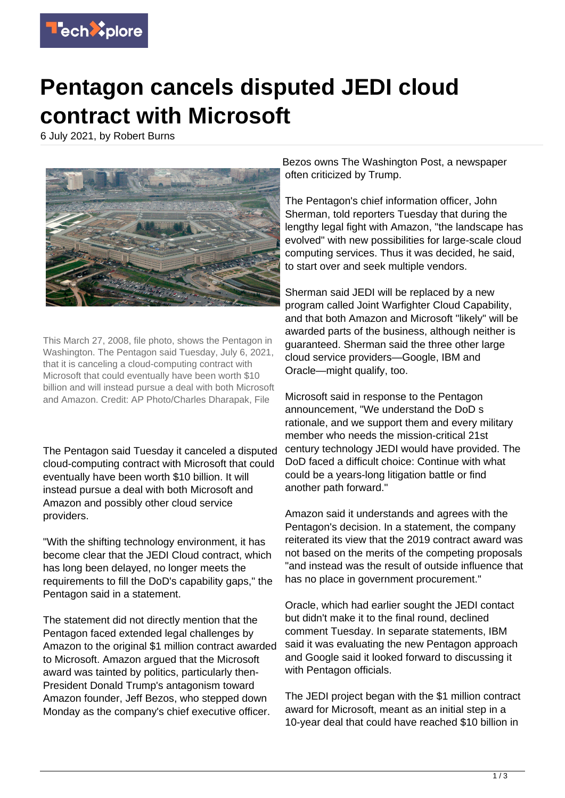

## **Pentagon cancels disputed JEDI cloud contract with Microsoft**

6 July 2021, by Robert Burns



This March 27, 2008, file photo, shows the Pentagon in Washington. The Pentagon said Tuesday, July 6, 2021, that it is canceling a cloud-computing contract with Microsoft that could eventually have been worth \$10 billion and will instead pursue a deal with both Microsoft and Amazon. Credit: AP Photo/Charles Dharapak, File

The Pentagon said Tuesday it canceled a disputed cloud-computing contract with Microsoft that could eventually have been worth \$10 billion. It will instead pursue a deal with both Microsoft and Amazon and possibly other cloud service providers.

"With the shifting technology environment, it has become clear that the JEDI Cloud contract, which has long been delayed, no longer meets the requirements to fill the DoD's capability gaps," the Pentagon said in a statement.

The statement did not directly mention that the Pentagon faced extended legal challenges by Amazon to the original \$1 million contract awarded to Microsoft. Amazon argued that the Microsoft award was tainted by politics, particularly then-President Donald Trump's antagonism toward Amazon founder, Jeff Bezos, who stepped down Monday as the company's chief executive officer.

Bezos owns The Washington Post, a newspaper often criticized by Trump.

The Pentagon's chief information officer, John Sherman, told reporters Tuesday that during the lengthy legal fight with Amazon, "the landscape has evolved" with new possibilities for large-scale cloud computing services. Thus it was decided, he said, to start over and seek multiple vendors.

Sherman said JEDI will be replaced by a new program called Joint Warfighter Cloud Capability, and that both Amazon and Microsoft "likely" will be awarded parts of the business, although neither is guaranteed. Sherman said the three other large cloud service providers—Google, IBM and Oracle—might qualify, too.

Microsoft said in response to the Pentagon announcement, "We understand the DoD s rationale, and we support them and every military member who needs the mission-critical 21st century technology JEDI would have provided. The DoD faced a difficult choice: Continue with what could be a years-long litigation battle or find another path forward."

Amazon said it understands and agrees with the Pentagon's decision. In a statement, the company reiterated its view that the 2019 contract award was not based on the merits of the competing proposals "and instead was the result of outside influence that has no place in government procurement."

Oracle, which had earlier sought the JEDI contact but didn't make it to the final round, declined comment Tuesday. In separate statements, IBM said it was evaluating the new Pentagon approach and Google said it looked forward to discussing it with Pentagon officials.

The JEDI project began with the \$1 million contract award for Microsoft, meant as an initial step in a 10-year deal that could have reached \$10 billion in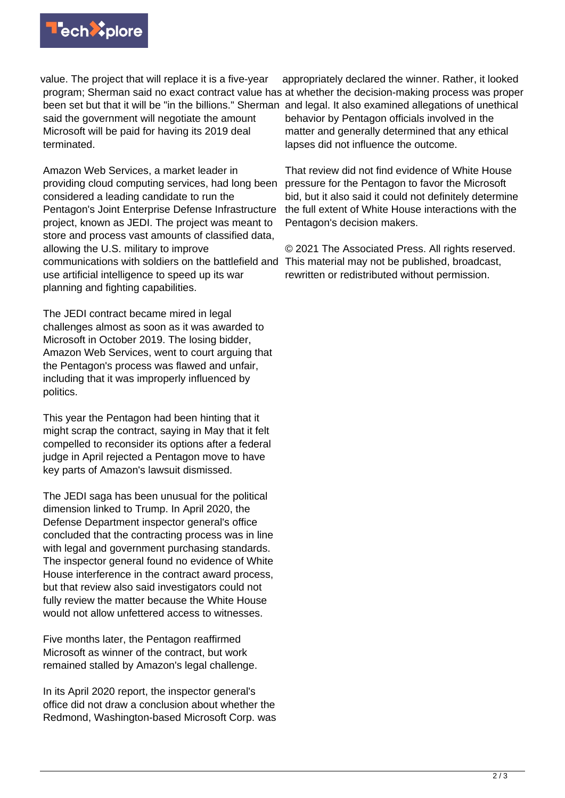

value. The project that will replace it is a five-year said the government will negotiate the amount Microsoft will be paid for having its 2019 deal terminated.

Amazon Web Services, a market leader in providing cloud computing services, had long been considered a leading candidate to run the Pentagon's Joint Enterprise Defense Infrastructure project, known as JEDI. The project was meant to store and process vast amounts of classified data, allowing the U.S. military to improve communications with soldiers on the battlefield and This material may not be published, broadcast, use artificial intelligence to speed up its war planning and fighting capabilities.

The JEDI contract became mired in legal challenges almost as soon as it was awarded to Microsoft in October 2019. The losing bidder, Amazon Web Services, went to court arguing that the Pentagon's process was flawed and unfair, including that it was improperly influenced by politics.

This year the Pentagon had been hinting that it might scrap the contract, saying in May that it felt compelled to reconsider its options after a federal judge in April rejected a Pentagon move to have key parts of Amazon's lawsuit dismissed.

The JEDI saga has been unusual for the political dimension linked to Trump. In April 2020, the Defense Department inspector general's office concluded that the contracting process was in line with legal and government purchasing standards. The inspector general found no evidence of White House interference in the contract award process, but that review also said investigators could not fully review the matter because the White House would not allow unfettered access to witnesses.

Five months later, the Pentagon reaffirmed Microsoft as winner of the contract, but work remained stalled by Amazon's legal challenge.

In its April 2020 report, the inspector general's office did not draw a conclusion about whether the Redmond, Washington-based Microsoft Corp. was

program; Sherman said no exact contract value has at whether the decision-making process was proper been set but that it will be "in the billions." Sherman and legal. It also examined allegations of unethical appropriately declared the winner. Rather, it looked behavior by Pentagon officials involved in the matter and generally determined that any ethical lapses did not influence the outcome.

> That review did not find evidence of White House pressure for the Pentagon to favor the Microsoft bid, but it also said it could not definitely determine the full extent of White House interactions with the Pentagon's decision makers.

© 2021 The Associated Press. All rights reserved. rewritten or redistributed without permission.